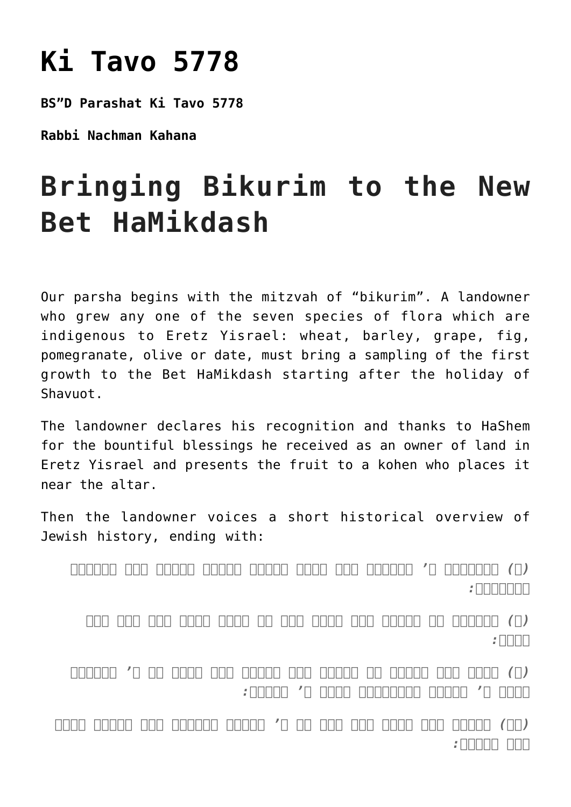## **[Ki Tavo 5778](https://nachmankahana.com/ki-tavo-5778/)**

**BS"D Parashat Ki Tavo 5778**

**Rabbi Nachman Kahana**

## **Bringing Bikurim to the New Bet HaMikdash**

Our parsha begins with the mitzvah of "bikurim". A landowner who grew any one of the seven species of flora which are indigenous to Eretz Yisrael: wheat, barley, grape, fig, pomegranate, olive or date, must bring a sampling of the first growth to the Bet HaMikdash starting after the holiday of Shavuot.

The landowner declares his recognition and thanks to HaShem for the bountiful blessings he received as an owner of land in Eretz Yisrael and presents the fruit to a kohen who places it near the altar.

Then the landowner voices a short historical overview of Jewish history, ending with:

*(ח) ויוצאנו ה' ממצרים ביד חזקה ובזרע נטויה ובמרא גדל ובאתות ובמפתים:*

*(ט) ויבאנו אל המקום הזה ויתן לנו את הארץ הזאת ארץ זבת חלב ודבש:*

*(י) ועתה הנה הבאתי את ראשית פרי האדמה אשר נתתה לי ה' והנחתו לפני ה' אלהיך והשתחוית לפני ה' אלהיך:*

*(יא) ושמחת בכל הטוב אשר נתן לך ה' אלהיך ולביתך אתה והלוי והגר אשר בקרבך:*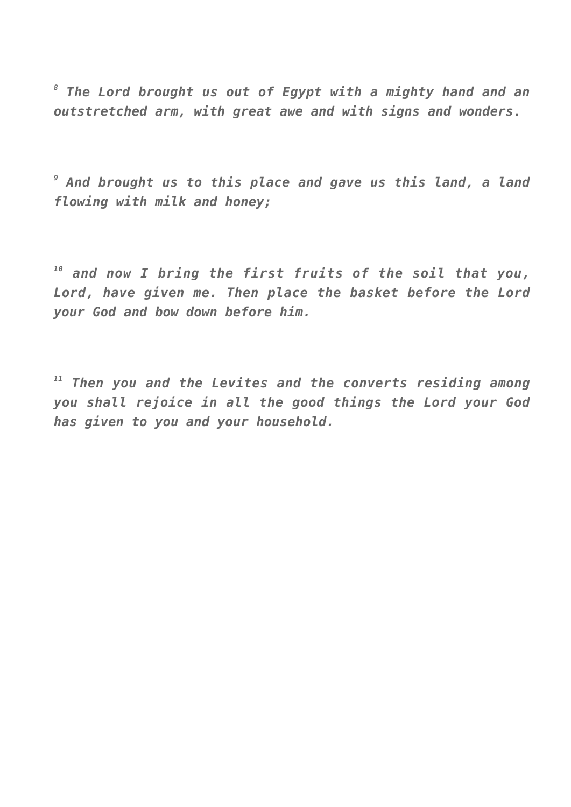*8 The Lord brought us out of Egypt with a mighty hand and an outstretched arm, with great awe and with signs and wonders.*

*9 And brought us to this place and gave us this land, a land flowing with milk and honey;*

*<sup>10</sup> and now I bring the first fruits of the soil that you, Lord, have given me. Then place the basket before the Lord your God and bow down before him.*

*<sup>11</sup> Then you and the Levites and the converts residing among you shall rejoice in all the good things the Lord your God has given to you and your household.*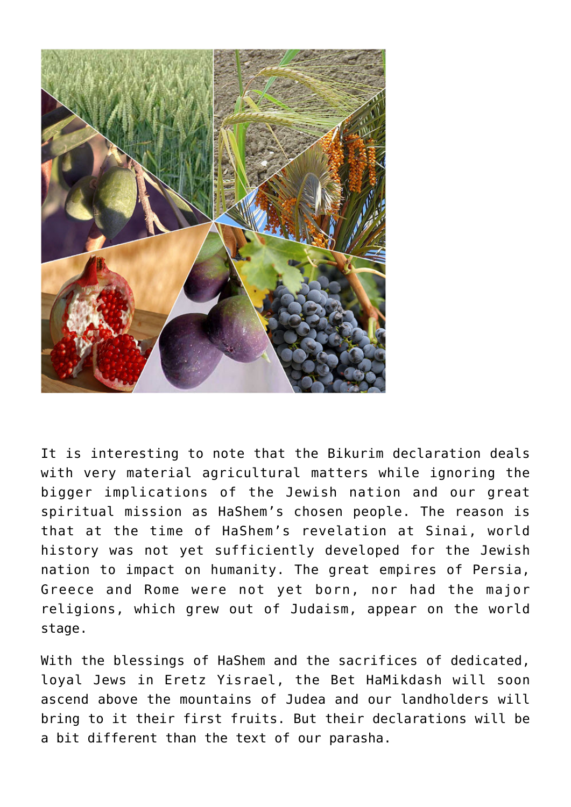

It is interesting to note that the Bikurim declaration deals with very material agricultural matters while ignoring the bigger implications of the Jewish nation and our great spiritual mission as HaShem's chosen people. The reason is that at the time of HaShem's revelation at Sinai, world history was not yet sufficiently developed for the Jewish nation to impact on humanity. The great empires of Persia, Greece and Rome were not yet born, nor had the major religions, which grew out of Judaism, appear on the world stage.

With the blessings of HaShem and the sacrifices of dedicated, loyal Jews in Eretz Yisrael, the Bet HaMikdash will soon ascend above the mountains of Judea and our landholders will bring to it their first fruits. But their declarations will be a bit different than the text of our parasha.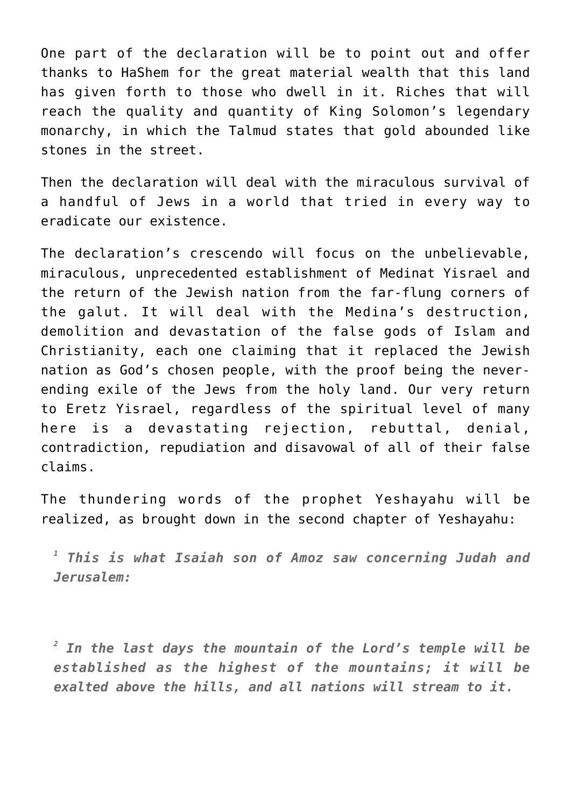One part of the declaration will be to point out and offer thanks to HaShem for the great material wealth that this land has given forth to those who dwell in it. Riches that will reach the quality and quantity of King Solomon's legendary monarchy, in which the Talmud states that gold abounded like stones in the street.

Then the declaration will deal with the miraculous survival of a handful of Jews in a world that tried in every way to eradicate our existence.

The declaration's crescendo will focus on the unbelievable, miraculous, unprecedented establishment of Medinat Yisrael and the return of the Jewish nation from the far-flung corners of the galut. It will deal with the Medina's destruction, demolition and devastation of the false gods of Islam and Christianity, each one claiming that it replaced the Jewish nation as God's chosen people, with the proof being the neverending exile of the Jews from the holy land. Our very return to Eretz Yisrael, regardless of the spiritual level of many here is a devastating rejection, rebuttal, denial, contradiction, repudiation and disavowal of all of their false claims.

The thundering words of the prophet Yeshayahu will be realized, as brought down in the second chapter of Yeshayahu:

*1 This is what Isaiah son of Amoz saw concerning Judah and Jerusalem:*

*2 In the last days the mountain of the Lord's temple will be established as the highest of the mountains; it will be exalted above the hills, and all nations will stream to it.*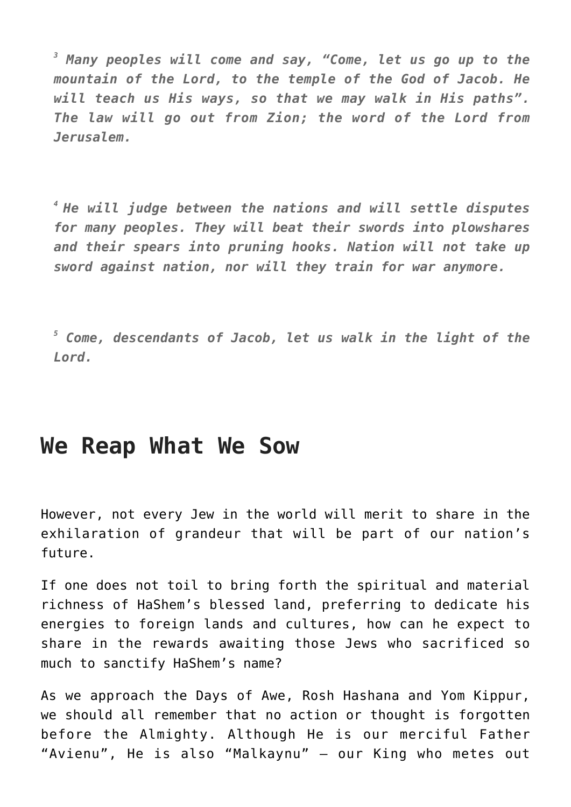*3 Many peoples will come and say, "Come, let us go up to the mountain of the Lord, to the temple of the God of Jacob. He will teach us His ways, so that we may walk in His paths". The law will go out from Zion; the word of the Lord from Jerusalem.*

*<sup>4</sup>He will judge between the nations and will settle disputes for many peoples. They will beat their swords into plowshares and their spears into pruning hooks. Nation will not take up sword against nation, nor will they train for war anymore.*

*5 Come, descendants of Jacob, let us walk in the light of the Lord.*

## **We Reap What We Sow**

However, not every Jew in the world will merit to share in the exhilaration of grandeur that will be part of our nation's future.

If one does not toil to bring forth the spiritual and material richness of HaShem's blessed land, preferring to dedicate his energies to foreign lands and cultures, how can he expect to share in the rewards awaiting those Jews who sacrificed so much to sanctify HaShem's name?

As we approach the Days of Awe, Rosh Hashana and Yom Kippur, we should all remember that no action or thought is forgotten before the Almighty. Although He is our merciful Father "Avienu", He is also "Malkaynu" – our King who metes out